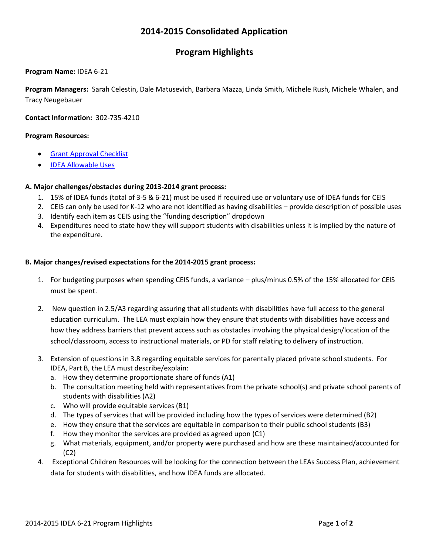# **2014-2015 Consolidated Application**

# **Program Highlights**

### **Program Name:** IDEA 6-21

**Program Managers:** Sarah Celestin, Dale Matusevich, Barbara Mazza, Linda Smith, Michele Rush, Michele Whalen, and Tracy Neugebauer

**Contact Information:** 302-735-4210

### **Program Resources:**

- Grant Approval Checklist
- IDEA Allowable Uses

### **A. Major challenges/obstacles during 2013-2014 grant process:**

- 1. 15% of IDEA funds (total of 3-5 & 6-21) must be used if required use or voluntary use of IDEA funds for CEIS
- 2. CEIS can only be used for K-12 who are not identified as having disabilities provide description of possible uses
- 3. Identify each item as CEIS using the "funding description" dropdown
- 4. Expenditures need to state how they will support students with disabilities unless it is implied by the nature of the expenditure.

#### **B. Major changes/revised expectations for the 2014-2015 grant process:**

- 1. For budgeting purposes when spending CEIS funds, a variance plus/minus 0.5% of the 15% allocated for CEIS must be spent.
- 2. New question in 2.5/A3 regarding assuring that all students with disabilities have full access to the general education curriculum. The LEA must explain how they ensure that students with disabilities have access and how they address barriers that prevent access such as obstacles involving the physical design/location of the school/classroom, access to instructional materials, or PD for staff relating to delivery of instruction.
- 3. Extension of questions in 3.8 regarding equitable services for parentally placed private school students. For IDEA, Part B, the LEA must describe/explain:
	- a. How they determine proportionate share of funds (A1)
	- b. The consultation meeting held with representatives from the private school(s) and private school parents of students with disabilities (A2)
	- c. Who will provide equitable services (B1)
	- d. The types of services that will be provided including how the types of services were determined (B2)
	- e. How they ensure that the services are equitable in comparison to their public school students (B3)
	- f. How they monitor the services are provided as agreed upon (C1)
	- g. What materials, equipment, and/or property were purchased and how are these maintained/accounted for (C2)
- 4. Exceptional Children Resources will be looking for the connection between the LEAs Success Plan, achievement data for students with disabilities, and how IDEA funds are allocated.